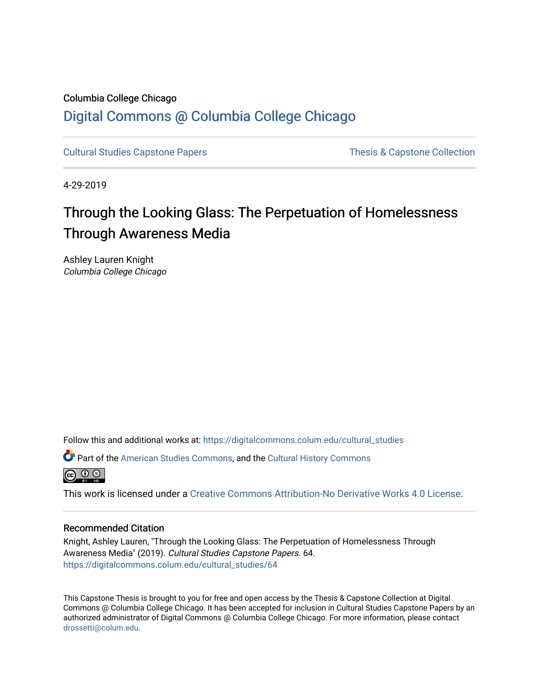# Columbia College Chicago [Digital Commons @ Columbia College Chicago](https://digitalcommons.colum.edu/)

[Cultural Studies Capstone Papers](https://digitalcommons.colum.edu/cultural_studies) Thesis & Capstone Collection

4-29-2019

# Through the Looking Glass: The Perpetuation of Homelessness Through Awareness Media

Ashley Lauren Knight Columbia College Chicago

Follow this and additional works at: [https://digitalcommons.colum.edu/cultural\\_studies](https://digitalcommons.colum.edu/cultural_studies?utm_source=digitalcommons.colum.edu%2Fcultural_studies%2F64&utm_medium=PDF&utm_campaign=PDFCoverPages) 

Part of the [American Studies Commons](http://network.bepress.com/hgg/discipline/439?utm_source=digitalcommons.colum.edu%2Fcultural_studies%2F64&utm_medium=PDF&utm_campaign=PDFCoverPages), and the [Cultural History Commons](http://network.bepress.com/hgg/discipline/496?utm_source=digitalcommons.colum.edu%2Fcultural_studies%2F64&utm_medium=PDF&utm_campaign=PDFCoverPages)



This work is licensed under a [Creative Commons Attribution-No Derivative Works 4.0 License.](https://creativecommons.org/licenses/by-nd/4.0/)

## Recommended Citation

Knight, Ashley Lauren, "Through the Looking Glass: The Perpetuation of Homelessness Through Awareness Media" (2019). Cultural Studies Capstone Papers. 64. [https://digitalcommons.colum.edu/cultural\\_studies/64](https://digitalcommons.colum.edu/cultural_studies/64?utm_source=digitalcommons.colum.edu%2Fcultural_studies%2F64&utm_medium=PDF&utm_campaign=PDFCoverPages)

This Capstone Thesis is brought to you for free and open access by the Thesis & Capstone Collection at Digital Commons @ Columbia College Chicago. It has been accepted for inclusion in Cultural Studies Capstone Papers by an authorized administrator of Digital Commons @ Columbia College Chicago. For more information, please contact [drossetti@colum.edu](mailto:drossetti@colum.edu).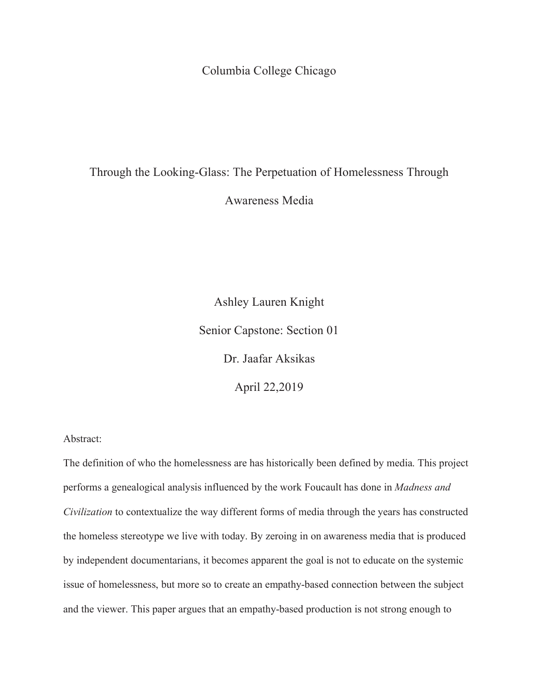Columbia College Chicago

# Through the Looking-Glass: The Perpetuation of Homelessness Through

Awareness Media

Ashley Lauren Knight Senior Capstone: Section 01 Dr. Jaafar Aksikas April 22,2019

## Abstract:

The definition of who the homelessness are has historically been defined by media. This project performs a genealogical analysis influenced by the work Foucault has done in *Madness and Civilization* to contextualize the way different forms of media through the years has constructed the homeless stereotype we live with today. By zeroing in on awareness media that is produced by independent documentarians, it becomes apparent the goal is not to educate on the systemic issue of homelessness, but more so to create an empathy-based connection between the subject and the viewer. This paper argues that an empathy-based production is not strong enough to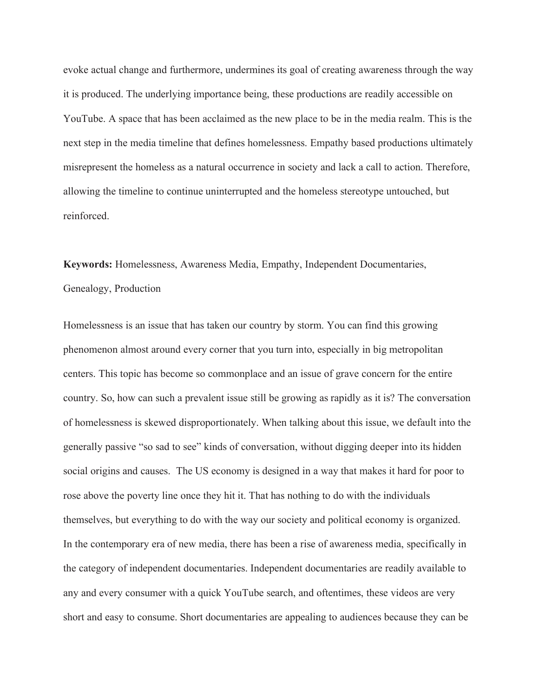evoke actual change and furthermore, undermines its goal of creating awareness through the way it is produced. The underlying importance being, these productions are readily accessible on YouTube. A space that has been acclaimed as the new place to be in the media realm. This is the next step in the media timeline that defines homelessness. Empathy based productions ultimately misrepresent the homeless as a natural occurrence in society and lack a call to action. Therefore, allowing the timeline to continue uninterrupted and the homeless stereotype untouched, but reinforced.

**Keywords:** Homelessness, Awareness Media, Empathy, Independent Documentaries, Genealogy, Production

Homelessness is an issue that has taken our country by storm. You can find this growing phenomenon almost around every corner that you turn into, especially in big metropolitan centers. This topic has become so commonplace and an issue of grave concern for the entire country. So, how can such a prevalent issue still be growing as rapidly as it is? The conversation of homelessness is skewed disproportionately. When talking about this issue, we default into the generally passive "so sad to see" kinds of conversation, without digging deeper into its hidden social origins and causes. The US economy is designed in a way that makes it hard for poor to rose above the poverty line once they hit it. That has nothing to do with the individuals themselves, but everything to do with the way our society and political economy is organized. In the contemporary era of new media, there has been a rise of awareness media, specifically in the category of independent documentaries. Independent documentaries are readily available to any and every consumer with a quick YouTube search, and oftentimes, these videos are very short and easy to consume. Short documentaries are appealing to audiences because they can be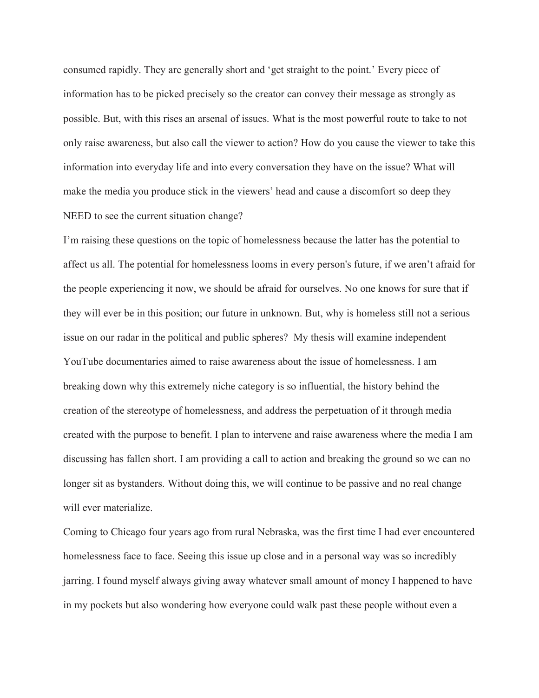consumed rapidly. They are generally short and 'get straight to the point.' Every piece of information has to be picked precisely so the creator can convey their message as strongly as possible. But, with this rises an arsenal of issues. What is the most powerful route to take to not only raise awareness, but also call the viewer to action? How do you cause the viewer to take this information into everyday life and into every conversation they have on the issue? What will make the media you produce stick in the viewers' head and cause a discomfort so deep they NEED to see the current situation change?

I'm raising these questions on the topic of homelessness because the latter has the potential to affect us all. The potential for homelessness looms in every person's future, if we aren't afraid for the people experiencing it now, we should be afraid for ourselves. No one knows for sure that if they will ever be in this position; our future in unknown. But, why is homeless still not a serious issue on our radar in the political and public spheres? My thesis will examine independent YouTube documentaries aimed to raise awareness about the issue of homelessness. I am breaking down why this extremely niche category is so influential, the history behind the creation of the stereotype of homelessness, and address the perpetuation of it through media created with the purpose to benefit. I plan to intervene and raise awareness where the media I am discussing has fallen short. I am providing a call to action and breaking the ground so we can no longer sit as bystanders. Without doing this, we will continue to be passive and no real change will ever materialize.

Coming to Chicago four years ago from rural Nebraska, was the first time I had ever encountered homelessness face to face. Seeing this issue up close and in a personal way was so incredibly jarring. I found myself always giving away whatever small amount of money I happened to have in my pockets but also wondering how everyone could walk past these people without even a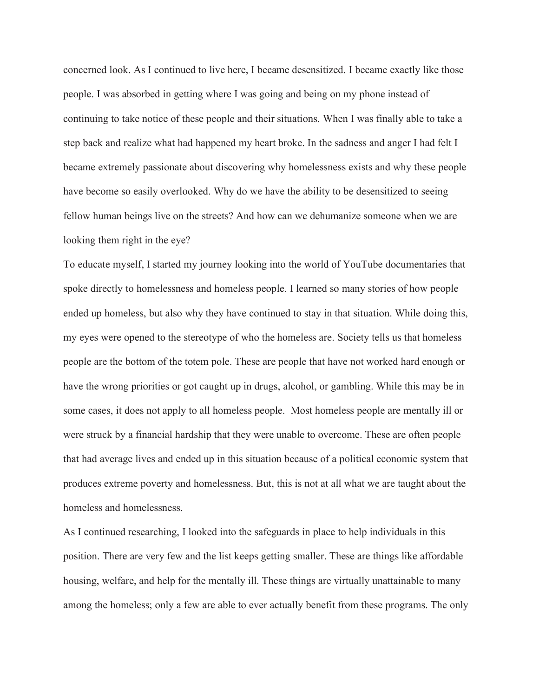concerned look. As I continued to live here, I became desensitized. I became exactly like those people. I was absorbed in getting where I was going and being on my phone instead of continuing to take notice of these people and their situations. When I was finally able to take a step back and realize what had happened my heart broke. In the sadness and anger I had felt I became extremely passionate about discovering why homelessness exists and why these people have become so easily overlooked. Why do we have the ability to be desensitized to seeing fellow human beings live on the streets? And how can we dehumanize someone when we are looking them right in the eye?

To educate myself, I started my journey looking into the world of YouTube documentaries that spoke directly to homelessness and homeless people. I learned so many stories of how people ended up homeless, but also why they have continued to stay in that situation. While doing this, my eyes were opened to the stereotype of who the homeless are. Society tells us that homeless people are the bottom of the totem pole. These are people that have not worked hard enough or have the wrong priorities or got caught up in drugs, alcohol, or gambling. While this may be in some cases, it does not apply to all homeless people. Most homeless people are mentally ill or were struck by a financial hardship that they were unable to overcome. These are often people that had average lives and ended up in this situation because of a political economic system that produces extreme poverty and homelessness. But, this is not at all what we are taught about the homeless and homelessness.

As I continued researching, I looked into the safeguards in place to help individuals in this position. There are very few and the list keeps getting smaller. These are things like affordable housing, welfare, and help for the mentally ill. These things are virtually unattainable to many among the homeless; only a few are able to ever actually benefit from these programs. The only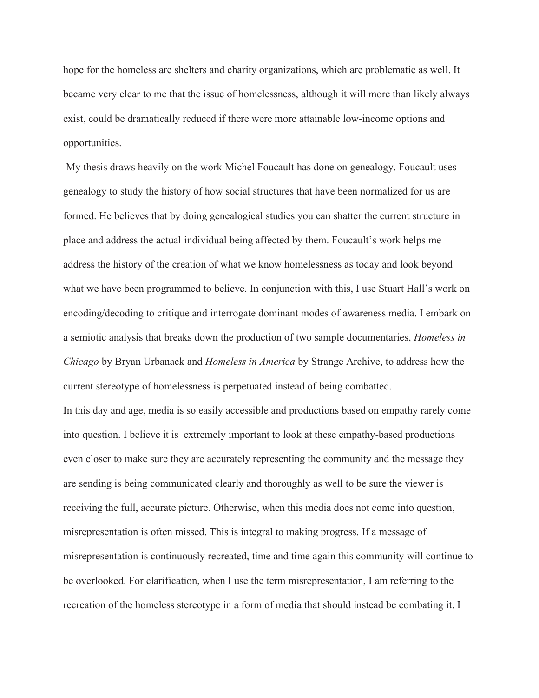hope for the homeless are shelters and charity organizations, which are problematic as well. It became very clear to me that the issue of homelessness, although it will more than likely always exist, could be dramatically reduced if there were more attainable low-income options and opportunities.

 My thesis draws heavily on the work Michel Foucault has done on genealogy. Foucault uses genealogy to study the history of how social structures that have been normalized for us are formed. He believes that by doing genealogical studies you can shatter the current structure in place and address the actual individual being affected by them. Foucault's work helps me address the history of the creation of what we know homelessness as today and look beyond what we have been programmed to believe. In conjunction with this, I use Stuart Hall's work on encoding/decoding to critique and interrogate dominant modes of awareness media. I embark on a semiotic analysis that breaks down the production of two sample documentaries, *Homeless in Chicago* by Bryan Urbanack and *Homeless in America* by Strange Archive, to address how the current stereotype of homelessness is perpetuated instead of being combatted.

In this day and age, media is so easily accessible and productions based on empathy rarely come into question. I believe it is extremely important to look at these empathy-based productions even closer to make sure they are accurately representing the community and the message they are sending is being communicated clearly and thoroughly as well to be sure the viewer is receiving the full, accurate picture. Otherwise, when this media does not come into question, misrepresentation is often missed. This is integral to making progress. If a message of misrepresentation is continuously recreated, time and time again this community will continue to be overlooked. For clarification, when I use the term misrepresentation, I am referring to the recreation of the homeless stereotype in a form of media that should instead be combating it. I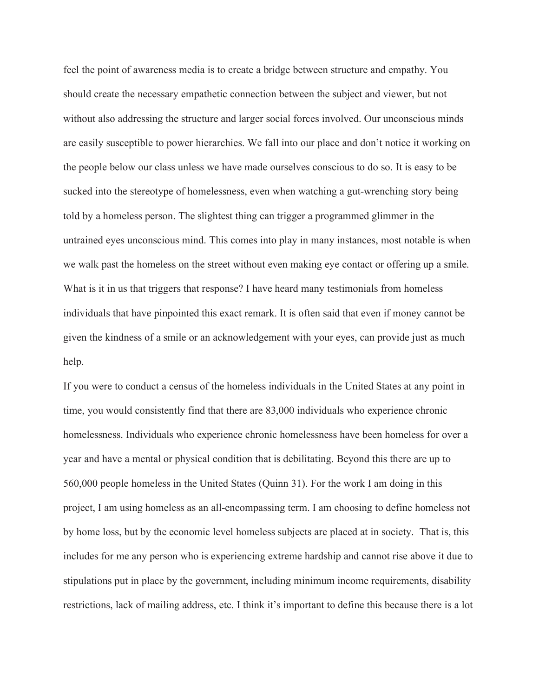feel the point of awareness media is to create a bridge between structure and empathy. You should create the necessary empathetic connection between the subject and viewer, but not without also addressing the structure and larger social forces involved. Our unconscious minds are easily susceptible to power hierarchies. We fall into our place and don't notice it working on the people below our class unless we have made ourselves conscious to do so. It is easy to be sucked into the stereotype of homelessness, even when watching a gut-wrenching story being told by a homeless person. The slightest thing can trigger a programmed glimmer in the untrained eyes unconscious mind. This comes into play in many instances, most notable is when we walk past the homeless on the street without even making eye contact or offering up a smile. What is it in us that triggers that response? I have heard many testimonials from homeless individuals that have pinpointed this exact remark. It is often said that even if money cannot be given the kindness of a smile or an acknowledgement with your eyes, can provide just as much help.

If you were to conduct a census of the homeless individuals in the United States at any point in time, you would consistently find that there are 83,000 individuals who experience chronic homelessness. Individuals who experience chronic homelessness have been homeless for over a year and have a mental or physical condition that is debilitating. Beyond this there are up to 560,000 people homeless in the United States (Quinn 31). For the work I am doing in this project, I am using homeless as an all-encompassing term. I am choosing to define homeless not by home loss, but by the economic level homeless subjects are placed at in society. That is, this includes for me any person who is experiencing extreme hardship and cannot rise above it due to stipulations put in place by the government, including minimum income requirements, disability restrictions, lack of mailing address, etc. I think it's important to define this because there is a lot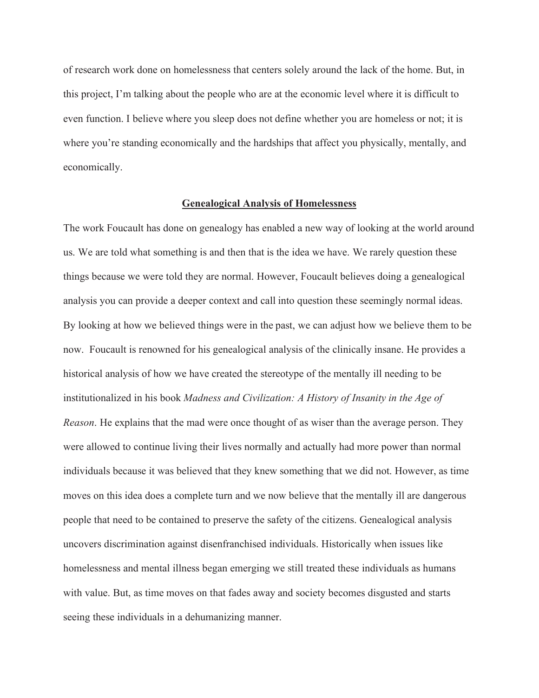of research work done on homelessness that centers solely around the lack of the home. But, in this project, I'm talking about the people who are at the economic level where it is difficult to even function. I believe where you sleep does not define whether you are homeless or not; it is where you're standing economically and the hardships that affect you physically, mentally, and economically.

#### **Genealogical Analysis of Homelessness**

The work Foucault has done on genealogy has enabled a new way of looking at the world around us. We are told what something is and then that is the idea we have. We rarely question these things because we were told they are normal. However, Foucault believes doing a genealogical analysis you can provide a deeper context and call into question these seemingly normal ideas. By looking at how we believed things were in the past, we can adjust how we believe them to be now. Foucault is renowned for his genealogical analysis of the clinically insane. He provides a historical analysis of how we have created the stereotype of the mentally ill needing to be institutionalized in his book *Madness and Civilization: A History of Insanity in the Age of Reason*. He explains that the mad were once thought of as wiser than the average person. They were allowed to continue living their lives normally and actually had more power than normal individuals because it was believed that they knew something that we did not. However, as time moves on this idea does a complete turn and we now believe that the mentally ill are dangerous people that need to be contained to preserve the safety of the citizens. Genealogical analysis uncovers discrimination against disenfranchised individuals. Historically when issues like homelessness and mental illness began emerging we still treated these individuals as humans with value. But, as time moves on that fades away and society becomes disgusted and starts seeing these individuals in a dehumanizing manner.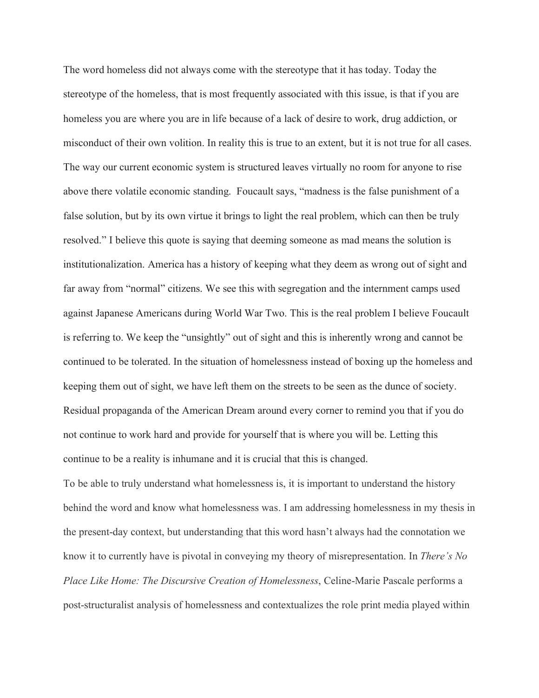The word homeless did not always come with the stereotype that it has today. Today the stereotype of the homeless, that is most frequently associated with this issue, is that if you are homeless you are where you are in life because of a lack of desire to work, drug addiction, or misconduct of their own volition. In reality this is true to an extent, but it is not true for all cases. The way our current economic system is structured leaves virtually no room for anyone to rise above there volatile economic standing. Foucault says, "madness is the false punishment of a false solution, but by its own virtue it brings to light the real problem, which can then be truly resolved." I believe this quote is saying that deeming someone as mad means the solution is institutionalization. America has a history of keeping what they deem as wrong out of sight and far away from "normal" citizens. We see this with segregation and the internment camps used against Japanese Americans during World War Two. This is the real problem I believe Foucault is referring to. We keep the "unsightly" out of sight and this is inherently wrong and cannot be continued to be tolerated. In the situation of homelessness instead of boxing up the homeless and keeping them out of sight, we have left them on the streets to be seen as the dunce of society. Residual propaganda of the American Dream around every corner to remind you that if you do not continue to work hard and provide for yourself that is where you will be. Letting this continue to be a reality is inhumane and it is crucial that this is changed.

To be able to truly understand what homelessness is, it is important to understand the history behind the word and know what homelessness was. I am addressing homelessness in my thesis in the present-day context, but understanding that this word hasn't always had the connotation we know it to currently have is pivotal in conveying my theory of misrepresentation. In *There's No Place Like Home: The Discursive Creation of Homelessness*, Celine-Marie Pascale performs a post-structuralist analysis of homelessness and contextualizes the role print media played within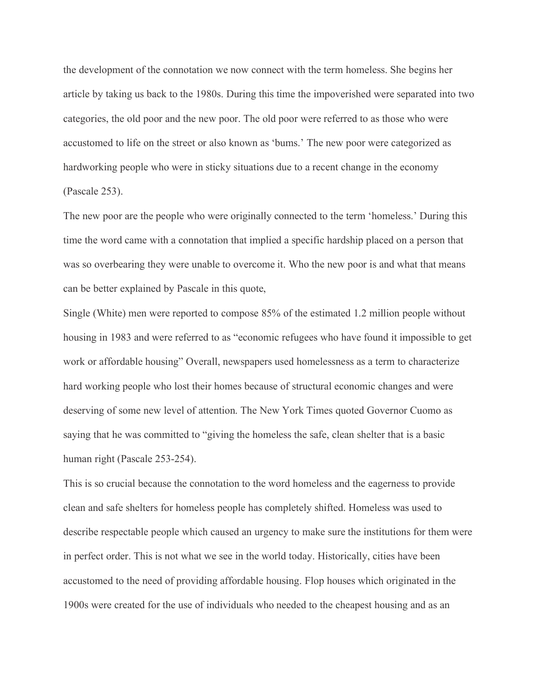the development of the connotation we now connect with the term homeless. She begins her article by taking us back to the 1980s. During this time the impoverished were separated into two categories, the old poor and the new poor. The old poor were referred to as those who were accustomed to life on the street or also known as 'bums.' The new poor were categorized as hardworking people who were in sticky situations due to a recent change in the economy (Pascale 253).

The new poor are the people who were originally connected to the term 'homeless.' During this time the word came with a connotation that implied a specific hardship placed on a person that was so overbearing they were unable to overcome it. Who the new poor is and what that means can be better explained by Pascale in this quote,

Single (White) men were reported to compose 85% of the estimated 1.2 million people without housing in 1983 and were referred to as "economic refugees who have found it impossible to get work or affordable housing" Overall, newspapers used homelessness as a term to characterize hard working people who lost their homes because of structural economic changes and were deserving of some new level of attention. The New York Times quoted Governor Cuomo as saying that he was committed to "giving the homeless the safe, clean shelter that is a basic human right (Pascale 253-254).

This is so crucial because the connotation to the word homeless and the eagerness to provide clean and safe shelters for homeless people has completely shifted. Homeless was used to describe respectable people which caused an urgency to make sure the institutions for them were in perfect order. This is not what we see in the world today. Historically, cities have been accustomed to the need of providing affordable housing. Flop houses which originated in the 1900s were created for the use of individuals who needed to the cheapest housing and as an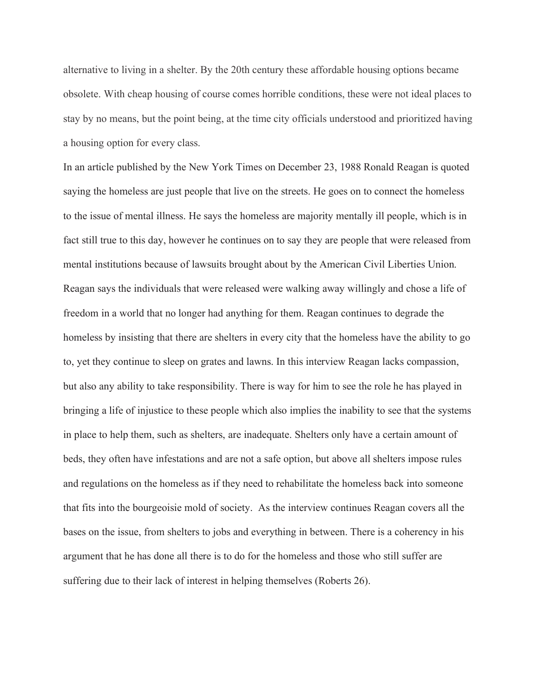alternative to living in a shelter. By the 20th century these affordable housing options became obsolete. With cheap housing of course comes horrible conditions, these were not ideal places to stay by no means, but the point being, at the time city officials understood and prioritized having a housing option for every class.

In an article published by the New York Times on December 23, 1988 Ronald Reagan is quoted saying the homeless are just people that live on the streets. He goes on to connect the homeless to the issue of mental illness. He says the homeless are majority mentally ill people, which is in fact still true to this day, however he continues on to say they are people that were released from mental institutions because of lawsuits brought about by the American Civil Liberties Union. Reagan says the individuals that were released were walking away willingly and chose a life of freedom in a world that no longer had anything for them. Reagan continues to degrade the homeless by insisting that there are shelters in every city that the homeless have the ability to go to, yet they continue to sleep on grates and lawns. In this interview Reagan lacks compassion, but also any ability to take responsibility. There is way for him to see the role he has played in bringing a life of injustice to these people which also implies the inability to see that the systems in place to help them, such as shelters, are inadequate. Shelters only have a certain amount of beds, they often have infestations and are not a safe option, but above all shelters impose rules and regulations on the homeless as if they need to rehabilitate the homeless back into someone that fits into the bourgeoisie mold of society. As the interview continues Reagan covers all the bases on the issue, from shelters to jobs and everything in between. There is a coherency in his argument that he has done all there is to do for the homeless and those who still suffer are suffering due to their lack of interest in helping themselves (Roberts 26).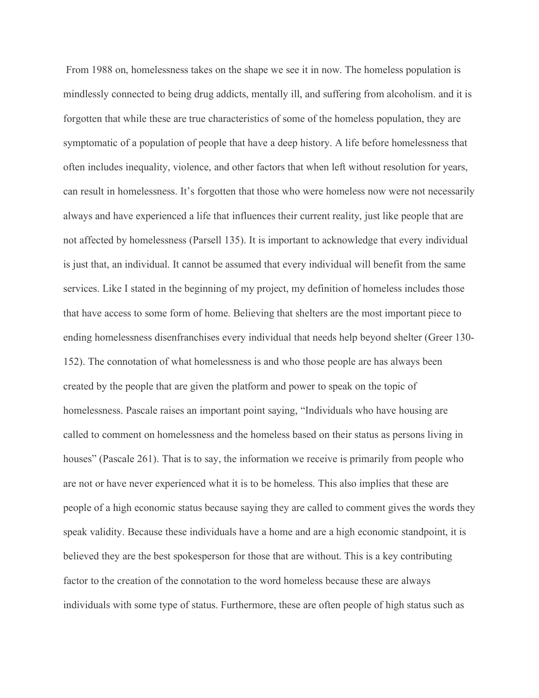From 1988 on, homelessness takes on the shape we see it in now. The homeless population is mindlessly connected to being drug addicts, mentally ill, and suffering from alcoholism. and it is forgotten that while these are true characteristics of some of the homeless population, they are symptomatic of a population of people that have a deep history. A life before homelessness that often includes inequality, violence, and other factors that when left without resolution for years, can result in homelessness. It's forgotten that those who were homeless now were not necessarily always and have experienced a life that influences their current reality, just like people that are not affected by homelessness (Parsell 135). It is important to acknowledge that every individual is just that, an individual. It cannot be assumed that every individual will benefit from the same services. Like I stated in the beginning of my project, my definition of homeless includes those that have access to some form of home. Believing that shelters are the most important piece to ending homelessness disenfranchises every individual that needs help beyond shelter (Greer 130- 152). The connotation of what homelessness is and who those people are has always been created by the people that are given the platform and power to speak on the topic of homelessness. Pascale raises an important point saying, "Individuals who have housing are called to comment on homelessness and the homeless based on their status as persons living in houses" (Pascale 261). That is to say, the information we receive is primarily from people who are not or have never experienced what it is to be homeless. This also implies that these are people of a high economic status because saying they are called to comment gives the words they speak validity. Because these individuals have a home and are a high economic standpoint, it is believed they are the best spokesperson for those that are without. This is a key contributing factor to the creation of the connotation to the word homeless because these are always individuals with some type of status. Furthermore, these are often people of high status such as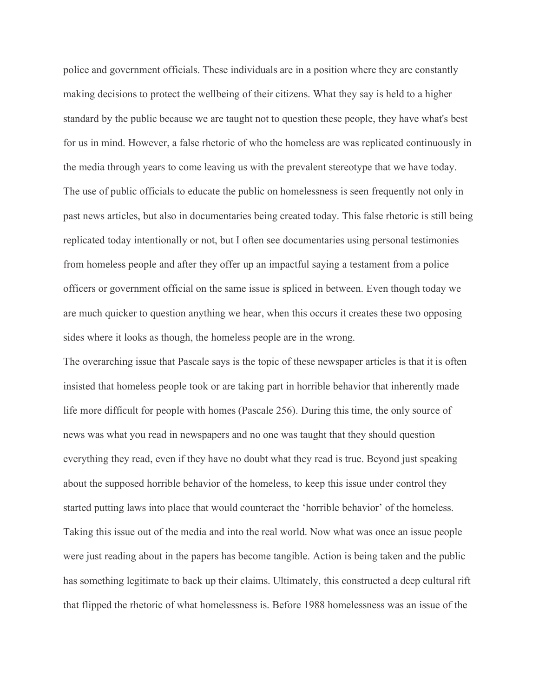police and government officials. These individuals are in a position where they are constantly making decisions to protect the wellbeing of their citizens. What they say is held to a higher standard by the public because we are taught not to question these people, they have what's best for us in mind. However, a false rhetoric of who the homeless are was replicated continuously in the media through years to come leaving us with the prevalent stereotype that we have today. The use of public officials to educate the public on homelessness is seen frequently not only in past news articles, but also in documentaries being created today. This false rhetoric is still being replicated today intentionally or not, but I often see documentaries using personal testimonies from homeless people and after they offer up an impactful saying a testament from a police officers or government official on the same issue is spliced in between. Even though today we are much quicker to question anything we hear, when this occurs it creates these two opposing sides where it looks as though, the homeless people are in the wrong.

The overarching issue that Pascale says is the topic of these newspaper articles is that it is often insisted that homeless people took or are taking part in horrible behavior that inherently made life more difficult for people with homes (Pascale 256). During this time, the only source of news was what you read in newspapers and no one was taught that they should question everything they read, even if they have no doubt what they read is true. Beyond just speaking about the supposed horrible behavior of the homeless, to keep this issue under control they started putting laws into place that would counteract the 'horrible behavior' of the homeless. Taking this issue out of the media and into the real world. Now what was once an issue people were just reading about in the papers has become tangible. Action is being taken and the public has something legitimate to back up their claims. Ultimately, this constructed a deep cultural rift that flipped the rhetoric of what homelessness is. Before 1988 homelessness was an issue of the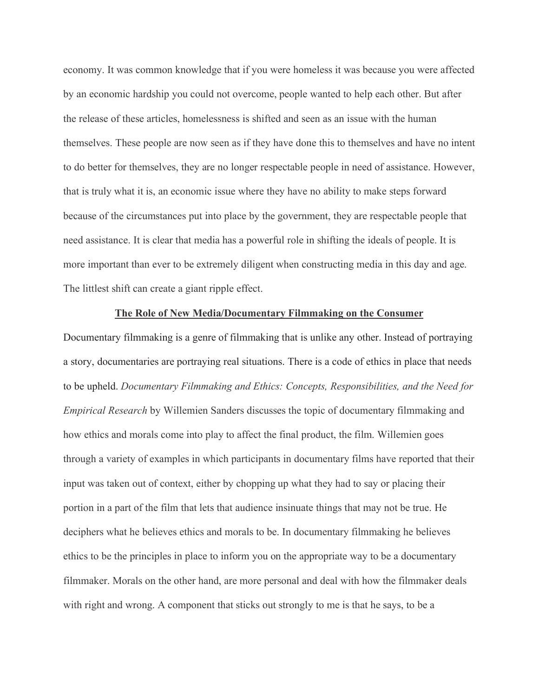economy. It was common knowledge that if you were homeless it was because you were affected by an economic hardship you could not overcome, people wanted to help each other. But after the release of these articles, homelessness is shifted and seen as an issue with the human themselves. These people are now seen as if they have done this to themselves and have no intent to do better for themselves, they are no longer respectable people in need of assistance. However, that is truly what it is, an economic issue where they have no ability to make steps forward because of the circumstances put into place by the government, they are respectable people that need assistance. It is clear that media has a powerful role in shifting the ideals of people. It is more important than ever to be extremely diligent when constructing media in this day and age. The littlest shift can create a giant ripple effect.

#### **The Role of New Media/Documentary Filmmaking on the Consumer**

Documentary filmmaking is a genre of filmmaking that is unlike any other. Instead of portraying a story, documentaries are portraying real situations. There is a code of ethics in place that needs to be upheld. *Documentary Filmmaking and Ethics: Concepts, Responsibilities, and the Need for Empirical Research* by Willemien Sanders discusses the topic of documentary filmmaking and how ethics and morals come into play to affect the final product, the film. Willemien goes through a variety of examples in which participants in documentary films have reported that their input was taken out of context, either by chopping up what they had to say or placing their portion in a part of the film that lets that audience insinuate things that may not be true. He deciphers what he believes ethics and morals to be. In documentary filmmaking he believes ethics to be the principles in place to inform you on the appropriate way to be a documentary filmmaker. Morals on the other hand, are more personal and deal with how the filmmaker deals with right and wrong. A component that sticks out strongly to me is that he says, to be a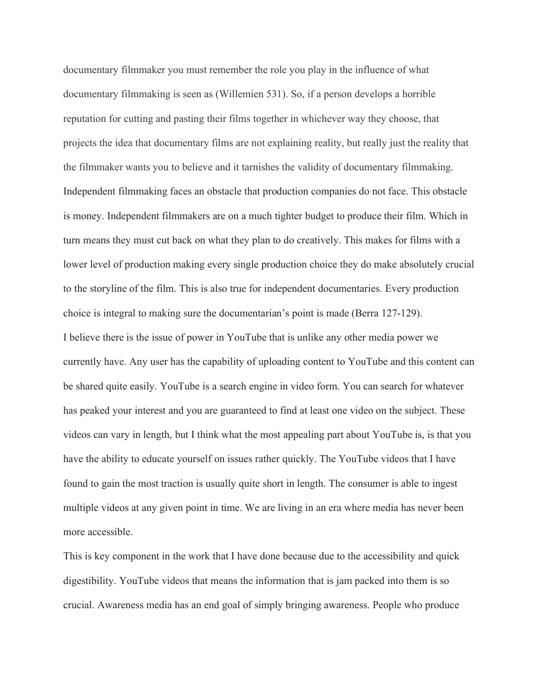documentary filmmaker you must remember the role you play in the influence of what documentary filmmaking is seen as (Willemien 531). So, if a person develops a horrible reputation for cutting and pasting their films together in whichever way they choose, that projects the idea that documentary films are not explaining reality, but really just the reality that the filmmaker wants you to believe and it tarnishes the validity of documentary filmmaking. Independent filmmaking faces an obstacle that production companies do not face. This obstacle is money. Independent filmmakers are on a much tighter budget to produce their film. Which in turn means they must cut back on what they plan to do creatively. This makes for films with a lower level of production making every single production choice they do make absolutely crucial to the storyline of the film. This is also true for independent documentaries. Every production choice is integral to making sure the documentarian's point is made (Berra 127-129). I believe there is the issue of power in YouTube that is unlike any other media power we currently have. Any user has the capability of uploading content to YouTube and this content can be shared quite easily. YouTube is a search engine in video form. You can search for whatever has peaked your interest and you are guaranteed to find at least one video on the subject. These videos can vary in length, but I think what the most appealing part about YouTube is, is that you have the ability to educate yourself on issues rather quickly. The YouTube videos that I have found to gain the most traction is usually quite short in length. The consumer is able to ingest multiple videos at any given point in time. We are living in an era where media has never been more accessible.

This is key component in the work that I have done because due to the accessibility and quick digestibility. YouTube videos that means the information that is jam packed into them is so crucial. Awareness media has an end goal of simply bringing awareness. People who produce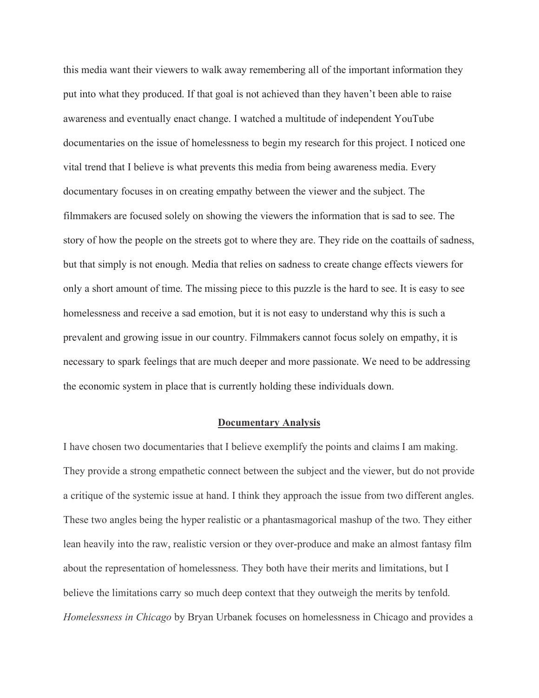this media want their viewers to walk away remembering all of the important information they put into what they produced. If that goal is not achieved than they haven't been able to raise awareness and eventually enact change. I watched a multitude of independent YouTube documentaries on the issue of homelessness to begin my research for this project. I noticed one vital trend that I believe is what prevents this media from being awareness media. Every documentary focuses in on creating empathy between the viewer and the subject. The filmmakers are focused solely on showing the viewers the information that is sad to see. The story of how the people on the streets got to where they are. They ride on the coattails of sadness, but that simply is not enough. Media that relies on sadness to create change effects viewers for only a short amount of time. The missing piece to this puzzle is the hard to see. It is easy to see homelessness and receive a sad emotion, but it is not easy to understand why this is such a prevalent and growing issue in our country. Filmmakers cannot focus solely on empathy, it is necessary to spark feelings that are much deeper and more passionate. We need to be addressing the economic system in place that is currently holding these individuals down.

### **Documentary Analysis**

I have chosen two documentaries that I believe exemplify the points and claims I am making. They provide a strong empathetic connect between the subject and the viewer, but do not provide a critique of the systemic issue at hand. I think they approach the issue from two different angles. These two angles being the hyper realistic or a phantasmagorical mashup of the two. They either lean heavily into the raw, realistic version or they over-produce and make an almost fantasy film about the representation of homelessness. They both have their merits and limitations, but I believe the limitations carry so much deep context that they outweigh the merits by tenfold. *Homelessness in Chicago* by Bryan Urbanek focuses on homelessness in Chicago and provides a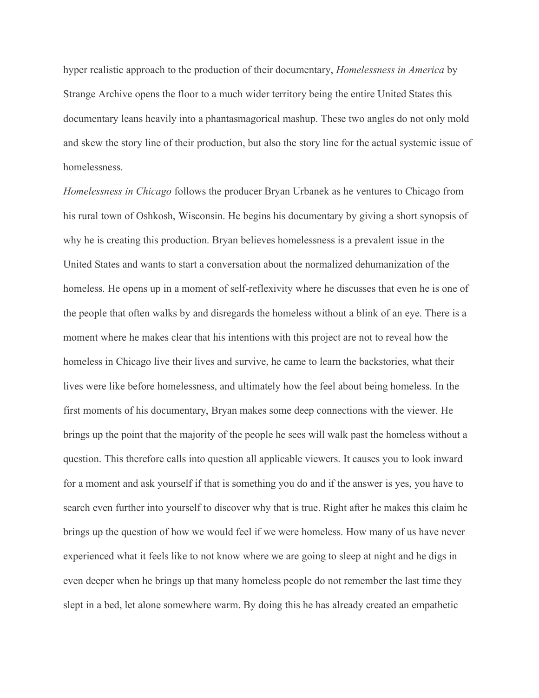hyper realistic approach to the production of their documentary, *Homelessness in America* by Strange Archive opens the floor to a much wider territory being the entire United States this documentary leans heavily into a phantasmagorical mashup. These two angles do not only mold and skew the story line of their production, but also the story line for the actual systemic issue of homelessness.

*Homelessness in Chicago* follows the producer Bryan Urbanek as he ventures to Chicago from his rural town of Oshkosh, Wisconsin. He begins his documentary by giving a short synopsis of why he is creating this production. Bryan believes homelessness is a prevalent issue in the United States and wants to start a conversation about the normalized dehumanization of the homeless. He opens up in a moment of self-reflexivity where he discusses that even he is one of the people that often walks by and disregards the homeless without a blink of an eye. There is a moment where he makes clear that his intentions with this project are not to reveal how the homeless in Chicago live their lives and survive, he came to learn the backstories, what their lives were like before homelessness, and ultimately how the feel about being homeless. In the first moments of his documentary, Bryan makes some deep connections with the viewer. He brings up the point that the majority of the people he sees will walk past the homeless without a question. This therefore calls into question all applicable viewers. It causes you to look inward for a moment and ask yourself if that is something you do and if the answer is yes, you have to search even further into yourself to discover why that is true. Right after he makes this claim he brings up the question of how we would feel if we were homeless. How many of us have never experienced what it feels like to not know where we are going to sleep at night and he digs in even deeper when he brings up that many homeless people do not remember the last time they slept in a bed, let alone somewhere warm. By doing this he has already created an empathetic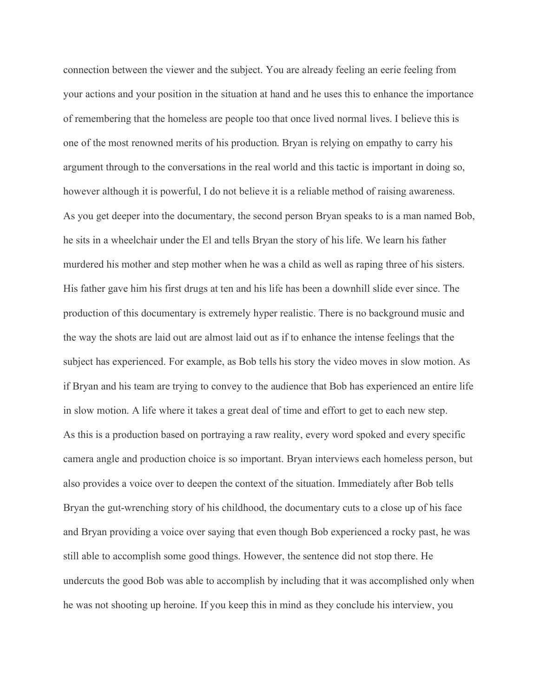connection between the viewer and the subject. You are already feeling an eerie feeling from your actions and your position in the situation at hand and he uses this to enhance the importance of remembering that the homeless are people too that once lived normal lives. I believe this is one of the most renowned merits of his production. Bryan is relying on empathy to carry his argument through to the conversations in the real world and this tactic is important in doing so, however although it is powerful, I do not believe it is a reliable method of raising awareness. As you get deeper into the documentary, the second person Bryan speaks to is a man named Bob, he sits in a wheelchair under the El and tells Bryan the story of his life. We learn his father murdered his mother and step mother when he was a child as well as raping three of his sisters. His father gave him his first drugs at ten and his life has been a downhill slide ever since. The production of this documentary is extremely hyper realistic. There is no background music and the way the shots are laid out are almost laid out as if to enhance the intense feelings that the subject has experienced. For example, as Bob tells his story the video moves in slow motion. As if Bryan and his team are trying to convey to the audience that Bob has experienced an entire life in slow motion. A life where it takes a great deal of time and effort to get to each new step. As this is a production based on portraying a raw reality, every word spoked and every specific camera angle and production choice is so important. Bryan interviews each homeless person, but also provides a voice over to deepen the context of the situation. Immediately after Bob tells Bryan the gut-wrenching story of his childhood, the documentary cuts to a close up of his face and Bryan providing a voice over saying that even though Bob experienced a rocky past, he was still able to accomplish some good things. However, the sentence did not stop there. He undercuts the good Bob was able to accomplish by including that it was accomplished only when he was not shooting up heroine. If you keep this in mind as they conclude his interview, you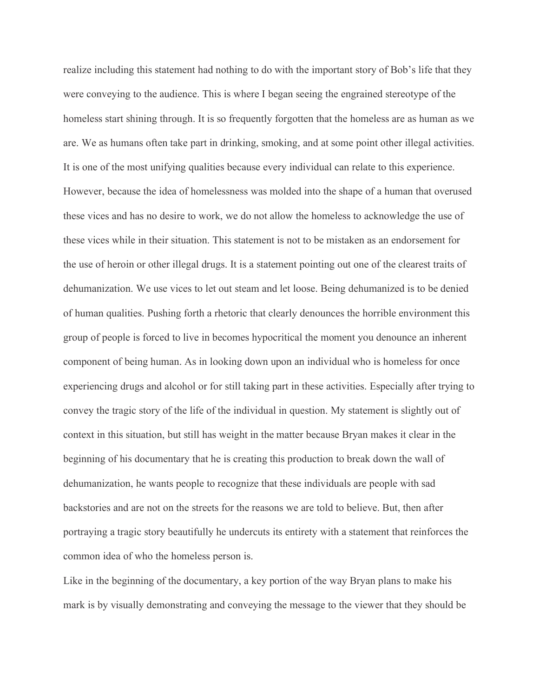realize including this statement had nothing to do with the important story of Bob's life that they were conveying to the audience. This is where I began seeing the engrained stereotype of the homeless start shining through. It is so frequently forgotten that the homeless are as human as we are. We as humans often take part in drinking, smoking, and at some point other illegal activities. It is one of the most unifying qualities because every individual can relate to this experience. However, because the idea of homelessness was molded into the shape of a human that overused these vices and has no desire to work, we do not allow the homeless to acknowledge the use of these vices while in their situation. This statement is not to be mistaken as an endorsement for the use of heroin or other illegal drugs. It is a statement pointing out one of the clearest traits of dehumanization. We use vices to let out steam and let loose. Being dehumanized is to be denied of human qualities. Pushing forth a rhetoric that clearly denounces the horrible environment this group of people is forced to live in becomes hypocritical the moment you denounce an inherent component of being human. As in looking down upon an individual who is homeless for once experiencing drugs and alcohol or for still taking part in these activities. Especially after trying to convey the tragic story of the life of the individual in question. My statement is slightly out of context in this situation, but still has weight in the matter because Bryan makes it clear in the beginning of his documentary that he is creating this production to break down the wall of dehumanization, he wants people to recognize that these individuals are people with sad backstories and are not on the streets for the reasons we are told to believe. But, then after portraying a tragic story beautifully he undercuts its entirety with a statement that reinforces the common idea of who the homeless person is.

Like in the beginning of the documentary, a key portion of the way Bryan plans to make his mark is by visually demonstrating and conveying the message to the viewer that they should be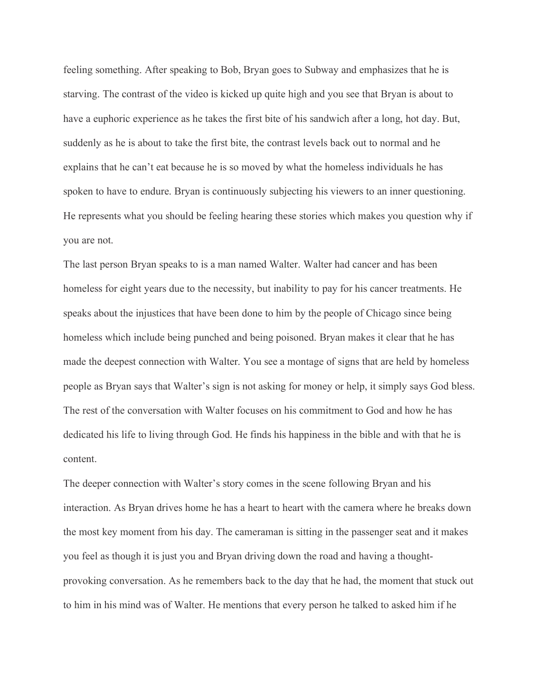feeling something. After speaking to Bob, Bryan goes to Subway and emphasizes that he is starving. The contrast of the video is kicked up quite high and you see that Bryan is about to have a euphoric experience as he takes the first bite of his sandwich after a long, hot day. But, suddenly as he is about to take the first bite, the contrast levels back out to normal and he explains that he can't eat because he is so moved by what the homeless individuals he has spoken to have to endure. Bryan is continuously subjecting his viewers to an inner questioning. He represents what you should be feeling hearing these stories which makes you question why if you are not.

The last person Bryan speaks to is a man named Walter. Walter had cancer and has been homeless for eight years due to the necessity, but inability to pay for his cancer treatments. He speaks about the injustices that have been done to him by the people of Chicago since being homeless which include being punched and being poisoned. Bryan makes it clear that he has made the deepest connection with Walter. You see a montage of signs that are held by homeless people as Bryan says that Walter's sign is not asking for money or help, it simply says God bless. The rest of the conversation with Walter focuses on his commitment to God and how he has dedicated his life to living through God. He finds his happiness in the bible and with that he is content.

The deeper connection with Walter's story comes in the scene following Bryan and his interaction. As Bryan drives home he has a heart to heart with the camera where he breaks down the most key moment from his day. The cameraman is sitting in the passenger seat and it makes you feel as though it is just you and Bryan driving down the road and having a thoughtprovoking conversation. As he remembers back to the day that he had, the moment that stuck out to him in his mind was of Walter. He mentions that every person he talked to asked him if he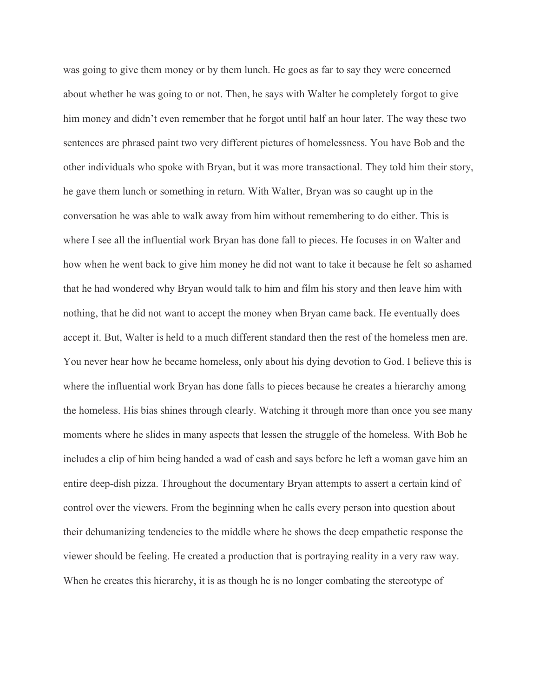was going to give them money or by them lunch. He goes as far to say they were concerned about whether he was going to or not. Then, he says with Walter he completely forgot to give him money and didn't even remember that he forgot until half an hour later. The way these two sentences are phrased paint two very different pictures of homelessness. You have Bob and the other individuals who spoke with Bryan, but it was more transactional. They told him their story, he gave them lunch or something in return. With Walter, Bryan was so caught up in the conversation he was able to walk away from him without remembering to do either. This is where I see all the influential work Bryan has done fall to pieces. He focuses in on Walter and how when he went back to give him money he did not want to take it because he felt so ashamed that he had wondered why Bryan would talk to him and film his story and then leave him with nothing, that he did not want to accept the money when Bryan came back. He eventually does accept it. But, Walter is held to a much different standard then the rest of the homeless men are. You never hear how he became homeless, only about his dying devotion to God. I believe this is where the influential work Bryan has done falls to pieces because he creates a hierarchy among the homeless. His bias shines through clearly. Watching it through more than once you see many moments where he slides in many aspects that lessen the struggle of the homeless. With Bob he includes a clip of him being handed a wad of cash and says before he left a woman gave him an entire deep-dish pizza. Throughout the documentary Bryan attempts to assert a certain kind of control over the viewers. From the beginning when he calls every person into question about their dehumanizing tendencies to the middle where he shows the deep empathetic response the viewer should be feeling. He created a production that is portraying reality in a very raw way. When he creates this hierarchy, it is as though he is no longer combating the stereotype of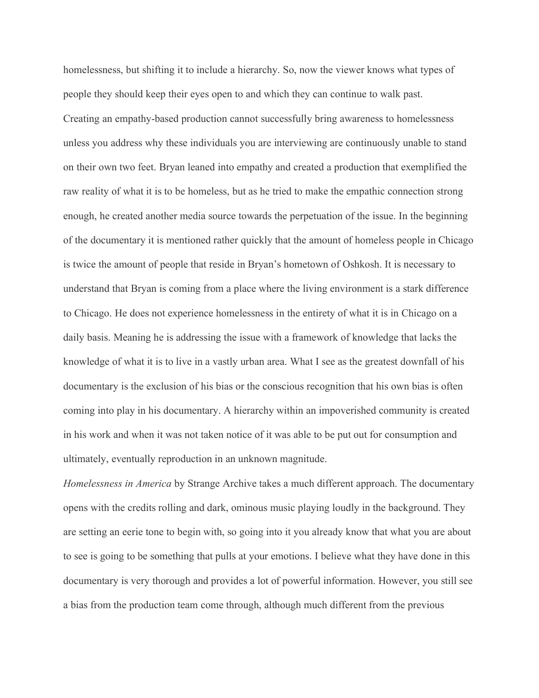homelessness, but shifting it to include a hierarchy. So, now the viewer knows what types of people they should keep their eyes open to and which they can continue to walk past. Creating an empathy-based production cannot successfully bring awareness to homelessness unless you address why these individuals you are interviewing are continuously unable to stand on their own two feet. Bryan leaned into empathy and created a production that exemplified the raw reality of what it is to be homeless, but as he tried to make the empathic connection strong enough, he created another media source towards the perpetuation of the issue. In the beginning of the documentary it is mentioned rather quickly that the amount of homeless people in Chicago is twice the amount of people that reside in Bryan's hometown of Oshkosh. It is necessary to understand that Bryan is coming from a place where the living environment is a stark difference to Chicago. He does not experience homelessness in the entirety of what it is in Chicago on a daily basis. Meaning he is addressing the issue with a framework of knowledge that lacks the knowledge of what it is to live in a vastly urban area. What I see as the greatest downfall of his documentary is the exclusion of his bias or the conscious recognition that his own bias is often coming into play in his documentary. A hierarchy within an impoverished community is created in his work and when it was not taken notice of it was able to be put out for consumption and ultimately, eventually reproduction in an unknown magnitude.

*Homelessness in America* by Strange Archive takes a much different approach. The documentary opens with the credits rolling and dark, ominous music playing loudly in the background. They are setting an eerie tone to begin with, so going into it you already know that what you are about to see is going to be something that pulls at your emotions. I believe what they have done in this documentary is very thorough and provides a lot of powerful information. However, you still see a bias from the production team come through, although much different from the previous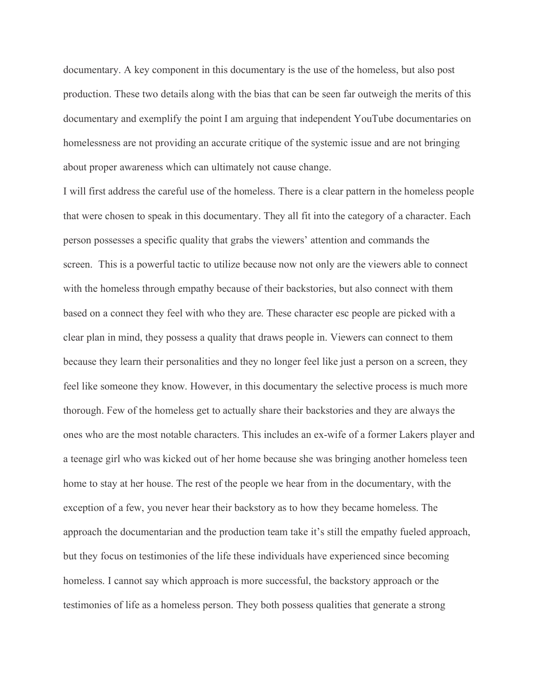documentary. A key component in this documentary is the use of the homeless, but also post production. These two details along with the bias that can be seen far outweigh the merits of this documentary and exemplify the point I am arguing that independent YouTube documentaries on homelessness are not providing an accurate critique of the systemic issue and are not bringing about proper awareness which can ultimately not cause change.

I will first address the careful use of the homeless. There is a clear pattern in the homeless people that were chosen to speak in this documentary. They all fit into the category of a character. Each person possesses a specific quality that grabs the viewers' attention and commands the screen. This is a powerful tactic to utilize because now not only are the viewers able to connect with the homeless through empathy because of their backstories, but also connect with them based on a connect they feel with who they are. These character esc people are picked with a clear plan in mind, they possess a quality that draws people in. Viewers can connect to them because they learn their personalities and they no longer feel like just a person on a screen, they feel like someone they know. However, in this documentary the selective process is much more thorough. Few of the homeless get to actually share their backstories and they are always the ones who are the most notable characters. This includes an ex-wife of a former Lakers player and a teenage girl who was kicked out of her home because she was bringing another homeless teen home to stay at her house. The rest of the people we hear from in the documentary, with the exception of a few, you never hear their backstory as to how they became homeless. The approach the documentarian and the production team take it's still the empathy fueled approach, but they focus on testimonies of the life these individuals have experienced since becoming homeless. I cannot say which approach is more successful, the backstory approach or the testimonies of life as a homeless person. They both possess qualities that generate a strong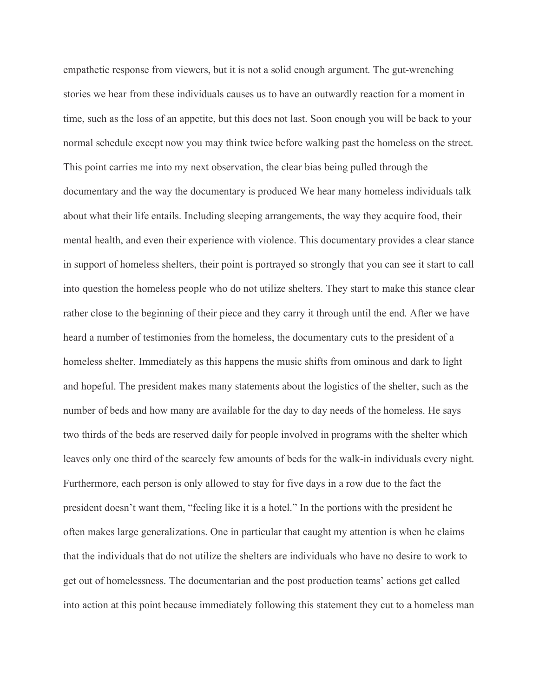empathetic response from viewers, but it is not a solid enough argument. The gut-wrenching stories we hear from these individuals causes us to have an outwardly reaction for a moment in time, such as the loss of an appetite, but this does not last. Soon enough you will be back to your normal schedule except now you may think twice before walking past the homeless on the street. This point carries me into my next observation, the clear bias being pulled through the documentary and the way the documentary is produced We hear many homeless individuals talk about what their life entails. Including sleeping arrangements, the way they acquire food, their mental health, and even their experience with violence. This documentary provides a clear stance in support of homeless shelters, their point is portrayed so strongly that you can see it start to call into question the homeless people who do not utilize shelters. They start to make this stance clear rather close to the beginning of their piece and they carry it through until the end. After we have heard a number of testimonies from the homeless, the documentary cuts to the president of a homeless shelter. Immediately as this happens the music shifts from ominous and dark to light and hopeful. The president makes many statements about the logistics of the shelter, such as the number of beds and how many are available for the day to day needs of the homeless. He says two thirds of the beds are reserved daily for people involved in programs with the shelter which leaves only one third of the scarcely few amounts of beds for the walk-in individuals every night. Furthermore, each person is only allowed to stay for five days in a row due to the fact the president doesn't want them, "feeling like it is a hotel." In the portions with the president he often makes large generalizations. One in particular that caught my attention is when he claims that the individuals that do not utilize the shelters are individuals who have no desire to work to get out of homelessness. The documentarian and the post production teams' actions get called into action at this point because immediately following this statement they cut to a homeless man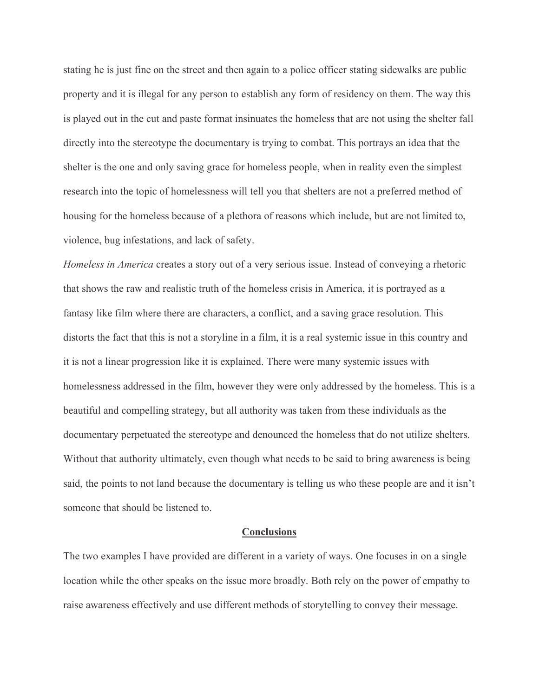stating he is just fine on the street and then again to a police officer stating sidewalks are public property and it is illegal for any person to establish any form of residency on them. The way this is played out in the cut and paste format insinuates the homeless that are not using the shelter fall directly into the stereotype the documentary is trying to combat. This portrays an idea that the shelter is the one and only saving grace for homeless people, when in reality even the simplest research into the topic of homelessness will tell you that shelters are not a preferred method of housing for the homeless because of a plethora of reasons which include, but are not limited to, violence, bug infestations, and lack of safety.

*Homeless in America* creates a story out of a very serious issue. Instead of conveying a rhetoric that shows the raw and realistic truth of the homeless crisis in America, it is portrayed as a fantasy like film where there are characters, a conflict, and a saving grace resolution. This distorts the fact that this is not a storyline in a film, it is a real systemic issue in this country and it is not a linear progression like it is explained. There were many systemic issues with homelessness addressed in the film, however they were only addressed by the homeless. This is a beautiful and compelling strategy, but all authority was taken from these individuals as the documentary perpetuated the stereotype and denounced the homeless that do not utilize shelters. Without that authority ultimately, even though what needs to be said to bring awareness is being said, the points to not land because the documentary is telling us who these people are and it isn't someone that should be listened to.

#### **Conclusions**

The two examples I have provided are different in a variety of ways. One focuses in on a single location while the other speaks on the issue more broadly. Both rely on the power of empathy to raise awareness effectively and use different methods of storytelling to convey their message.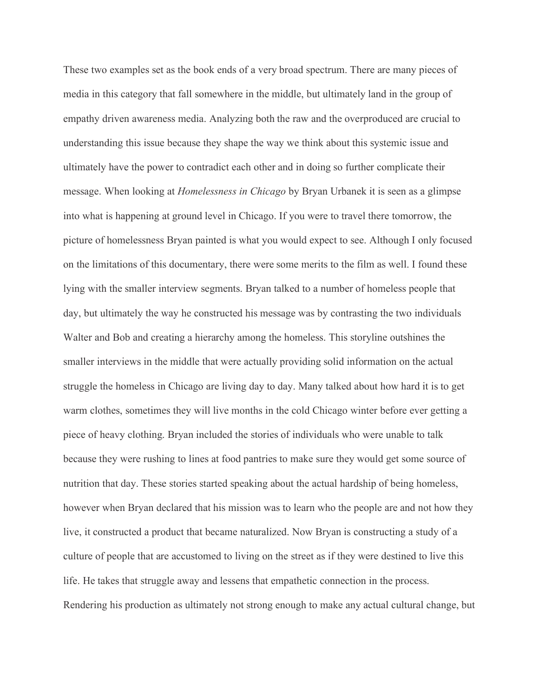These two examples set as the book ends of a very broad spectrum. There are many pieces of media in this category that fall somewhere in the middle, but ultimately land in the group of empathy driven awareness media. Analyzing both the raw and the overproduced are crucial to understanding this issue because they shape the way we think about this systemic issue and ultimately have the power to contradict each other and in doing so further complicate their message. When looking at *Homelessness in Chicago* by Bryan Urbanek it is seen as a glimpse into what is happening at ground level in Chicago. If you were to travel there tomorrow, the picture of homelessness Bryan painted is what you would expect to see. Although I only focused on the limitations of this documentary, there were some merits to the film as well. I found these lying with the smaller interview segments. Bryan talked to a number of homeless people that day, but ultimately the way he constructed his message was by contrasting the two individuals Walter and Bob and creating a hierarchy among the homeless. This storyline outshines the smaller interviews in the middle that were actually providing solid information on the actual struggle the homeless in Chicago are living day to day. Many talked about how hard it is to get warm clothes, sometimes they will live months in the cold Chicago winter before ever getting a piece of heavy clothing. Bryan included the stories of individuals who were unable to talk because they were rushing to lines at food pantries to make sure they would get some source of nutrition that day. These stories started speaking about the actual hardship of being homeless, however when Bryan declared that his mission was to learn who the people are and not how they live, it constructed a product that became naturalized. Now Bryan is constructing a study of a culture of people that are accustomed to living on the street as if they were destined to live this life. He takes that struggle away and lessens that empathetic connection in the process. Rendering his production as ultimately not strong enough to make any actual cultural change, but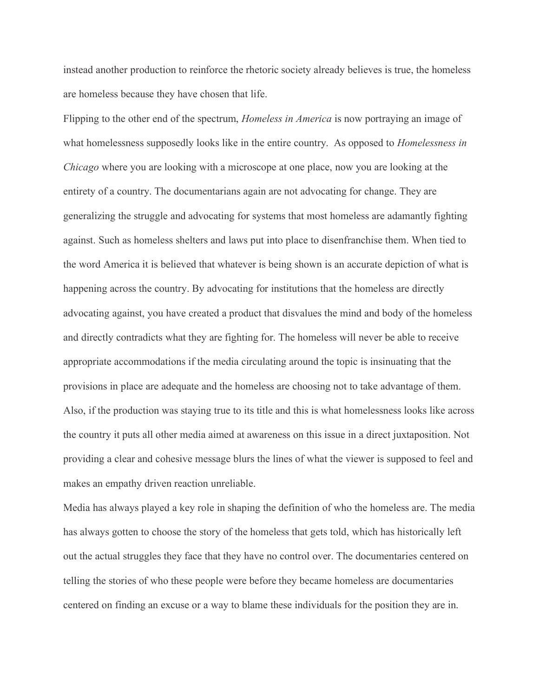instead another production to reinforce the rhetoric society already believes is true, the homeless are homeless because they have chosen that life.

Flipping to the other end of the spectrum, *Homeless in America* is now portraying an image of what homelessness supposedly looks like in the entire country. As opposed to *Homelessness in Chicago* where you are looking with a microscope at one place, now you are looking at the entirety of a country. The documentarians again are not advocating for change. They are generalizing the struggle and advocating for systems that most homeless are adamantly fighting against. Such as homeless shelters and laws put into place to disenfranchise them. When tied to the word America it is believed that whatever is being shown is an accurate depiction of what is happening across the country. By advocating for institutions that the homeless are directly advocating against, you have created a product that disvalues the mind and body of the homeless and directly contradicts what they are fighting for. The homeless will never be able to receive appropriate accommodations if the media circulating around the topic is insinuating that the provisions in place are adequate and the homeless are choosing not to take advantage of them. Also, if the production was staying true to its title and this is what homelessness looks like across the country it puts all other media aimed at awareness on this issue in a direct juxtaposition. Not providing a clear and cohesive message blurs the lines of what the viewer is supposed to feel and makes an empathy driven reaction unreliable.

Media has always played a key role in shaping the definition of who the homeless are. The media has always gotten to choose the story of the homeless that gets told, which has historically left out the actual struggles they face that they have no control over. The documentaries centered on telling the stories of who these people were before they became homeless are documentaries centered on finding an excuse or a way to blame these individuals for the position they are in.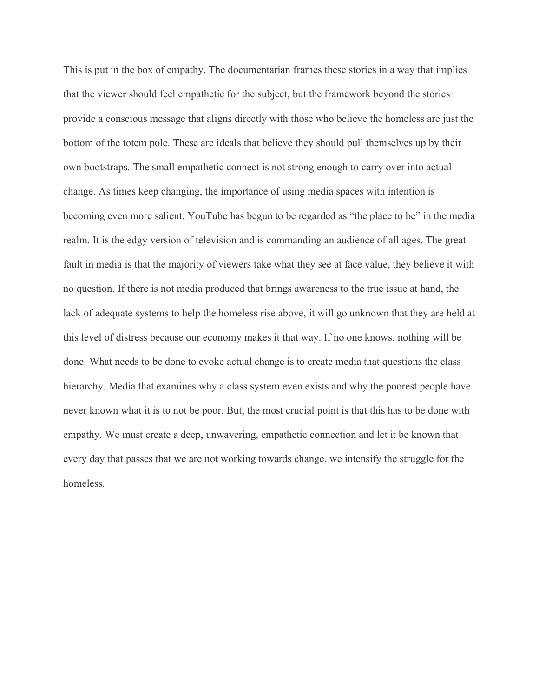This is put in the box of empathy. The documentarian frames these stories in a way that implies that the viewer should feel empathetic for the subject, but the framework beyond the stories provide a conscious message that aligns directly with those who believe the homeless are just the bottom of the totem pole. These are ideals that believe they should pull themselves up by their own bootstraps. The small empathetic connect is not strong enough to carry over into actual change. As times keep changing, the importance of using media spaces with intention is becoming even more salient. YouTube has begun to be regarded as "the place to be" in the media realm. It is the edgy version of television and is commanding an audience of all ages. The great fault in media is that the majority of viewers take what they see at face value, they believe it with no question. If there is not media produced that brings awareness to the true issue at hand, the lack of adequate systems to help the homeless rise above, it will go unknown that they are held at this level of distress because our economy makes it that way. If no one knows, nothing will be done. What needs to be done to evoke actual change is to create media that questions the class hierarchy. Media that examines why a class system even exists and why the poorest people have never known what it is to not be poor. But, the most crucial point is that this has to be done with empathy. We must create a deep, unwavering, empathetic connection and let it be known that every day that passes that we are not working towards change, we intensify the struggle for the homeless.